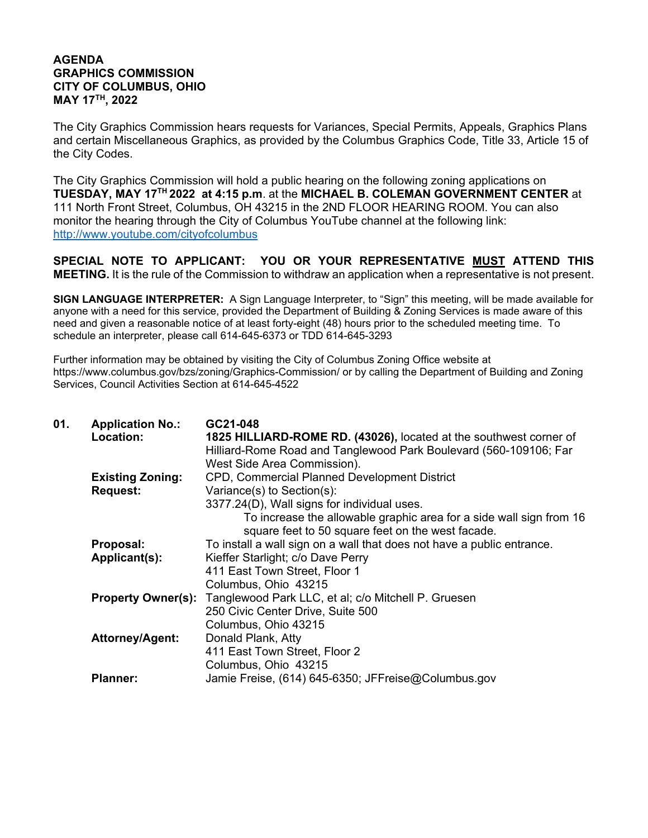## **AGENDA GRAPHICS COMMISSION CITY OF COLUMBUS, OHIO MAY 17TH, 2022**

The City Graphics Commission hears requests for Variances, Special Permits, Appeals, Graphics Plans and certain Miscellaneous Graphics, as provided by the Columbus Graphics Code, Title 33, Article 15 of the City Codes.

The City Graphics Commission will hold a public hearing on the following zoning applications on **TUESDAY, MAY 17TH 2022 at 4:15 p.m**. at the **MICHAEL B. COLEMAN GOVERNMENT CENTER** at 111 North Front Street, Columbus, OH 43215 in the 2ND FLOOR HEARING ROOM. You can also monitor the hearing through the City of Columbus YouTube channel at the following link: http://www.youtube.com/cityofcolumbus

**SPECIAL NOTE TO APPLICANT: YOU OR YOUR REPRESENTATIVE MUST ATTEND THIS MEETING.** It is the rule of the Commission to withdraw an application when a representative is not present.

**SIGN LANGUAGE INTERPRETER:** A Sign Language Interpreter, to "Sign" this meeting, will be made available for anyone with a need for this service, provided the Department of Building & Zoning Services is made aware of this need and given a reasonable notice of at least forty-eight (48) hours prior to the scheduled meeting time. To schedule an interpreter, please call 614-645-6373 or TDD 614-645-3293

Further information may be obtained by visiting the City of Columbus Zoning Office website at https://www.columbus.gov/bzs/zoning/Graphics-Commission/ or by calling the Department of Building and Zoning Services, Council Activities Section at 614-645-4522

| 01. | <b>Application No.:</b>   | GC21-048                                                               |
|-----|---------------------------|------------------------------------------------------------------------|
|     | Location:                 | 1825 HILLIARD-ROME RD. (43026), located at the southwest corner of     |
|     |                           | Hilliard-Rome Road and Tanglewood Park Boulevard (560-109106; Far      |
|     |                           | West Side Area Commission).                                            |
|     | <b>Existing Zoning:</b>   | <b>CPD, Commercial Planned Development District</b>                    |
|     | <b>Request:</b>           | Variance(s) to Section(s):                                             |
|     |                           | 3377.24(D), Wall signs for individual uses.                            |
|     |                           | To increase the allowable graphic area for a side wall sign from 16    |
|     |                           | square feet to 50 square feet on the west facade.                      |
|     | Proposal:                 | To install a wall sign on a wall that does not have a public entrance. |
|     | Applicant(s):             | Kieffer Starlight; c/o Dave Perry                                      |
|     |                           | 411 East Town Street, Floor 1                                          |
|     |                           | Columbus, Ohio 43215                                                   |
|     | <b>Property Owner(s):</b> | Tanglewood Park LLC, et al; c/o Mitchell P. Gruesen                    |
|     |                           | 250 Civic Center Drive, Suite 500                                      |
|     |                           | Columbus, Ohio 43215                                                   |
|     | <b>Attorney/Agent:</b>    | Donald Plank, Atty                                                     |
|     |                           | 411 East Town Street, Floor 2                                          |
|     |                           | Columbus, Ohio 43215                                                   |
|     | <b>Planner:</b>           | Jamie Freise, (614) 645-6350; JFFreise@Columbus.gov                    |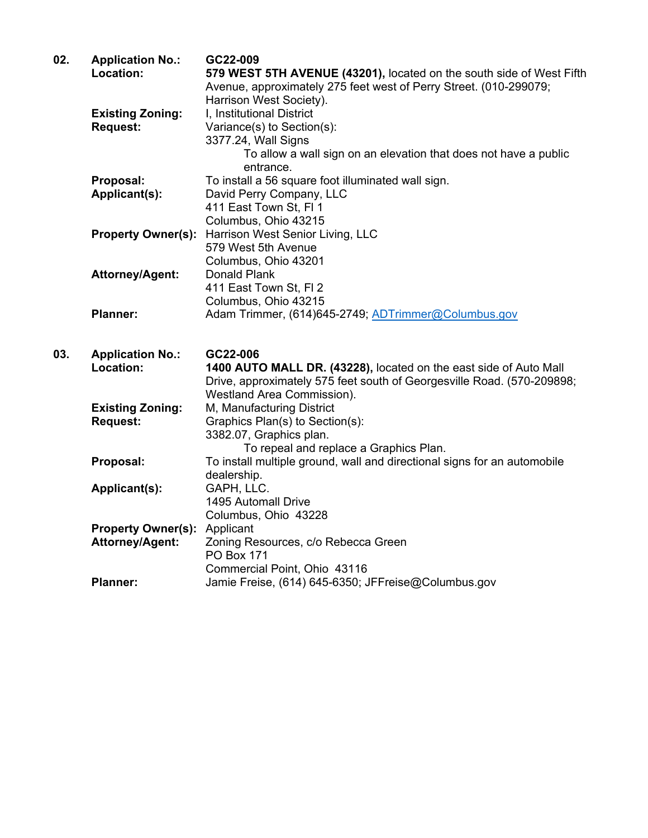| 02. | <b>Application No.:</b><br>Location: | GC22-009<br>579 WEST 5TH AVENUE (43201), located on the south side of West Fifth<br>Avenue, approximately 275 feet west of Perry Street. (010-299079;<br>Harrison West Society). |
|-----|--------------------------------------|----------------------------------------------------------------------------------------------------------------------------------------------------------------------------------|
|     | <b>Existing Zoning:</b>              | I, Institutional District                                                                                                                                                        |
|     | <b>Request:</b>                      | Variance(s) to Section(s):                                                                                                                                                       |
|     |                                      | 3377.24, Wall Signs                                                                                                                                                              |
|     |                                      | To allow a wall sign on an elevation that does not have a public                                                                                                                 |
|     |                                      | entrance.                                                                                                                                                                        |
|     | Proposal:                            | To install a 56 square foot illuminated wall sign.                                                                                                                               |
|     | Applicant(s):                        | David Perry Company, LLC                                                                                                                                                         |
|     |                                      | 411 East Town St, FI 1                                                                                                                                                           |
|     |                                      | Columbus, Ohio 43215                                                                                                                                                             |
|     | <b>Property Owner(s):</b>            | Harrison West Senior Living, LLC                                                                                                                                                 |
|     |                                      | 579 West 5th Avenue                                                                                                                                                              |
|     |                                      | Columbus, Ohio 43201                                                                                                                                                             |
|     | Attorney/Agent:                      | Donald Plank                                                                                                                                                                     |
|     |                                      | 411 East Town St, FI 2                                                                                                                                                           |
|     |                                      | Columbus, Ohio 43215                                                                                                                                                             |
|     | <b>Planner:</b>                      | Adam Trimmer, (614)645-2749; ADTrimmer@Columbus.gov                                                                                                                              |
| 03. |                                      | GC22-006                                                                                                                                                                         |
|     | <b>Application No.:</b><br>Location: | 1400 AUTO MALL DR. (43228), located on the east side of Auto Mall                                                                                                                |
|     |                                      | Drive, approximately 575 feet south of Georgesville Road. (570-209898;                                                                                                           |
|     |                                      | Westland Area Commission).                                                                                                                                                       |
|     | <b>Existing Zoning:</b>              | M, Manufacturing District                                                                                                                                                        |
|     | <b>Request:</b>                      | Graphics Plan(s) to Section(s):                                                                                                                                                  |
|     |                                      | 3382.07, Graphics plan.                                                                                                                                                          |
|     |                                      | To repeal and replace a Graphics Plan.                                                                                                                                           |
|     | Proposal:                            | To install multiple ground, wall and directional signs for an automobile                                                                                                         |
|     |                                      | dealership.                                                                                                                                                                      |
|     | Applicant(s):                        | GAPH, LLC.                                                                                                                                                                       |
|     |                                      | 1495 Automall Drive                                                                                                                                                              |
|     |                                      | Columbus, Ohio 43228                                                                                                                                                             |
|     | <b>Property Owner(s):</b>            | Applicant                                                                                                                                                                        |
|     |                                      |                                                                                                                                                                                  |
|     |                                      |                                                                                                                                                                                  |
|     | <b>Attorney/Agent:</b>               | Zoning Resources, c/o Rebecca Green<br><b>PO Box 171</b>                                                                                                                         |
|     |                                      | Commercial Point, Ohio 43116                                                                                                                                                     |
|     | <b>Planner:</b>                      | Jamie Freise, (614) 645-6350; JFFreise@Columbus.gov                                                                                                                              |